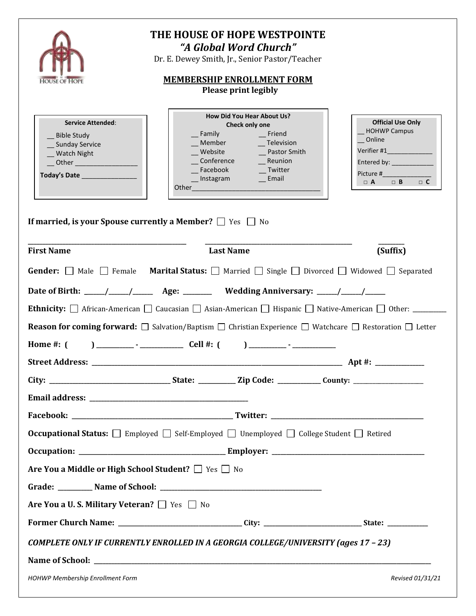| HOUSE OF HOPE                                                                                                                                | THE HOUSE OF HOPE WESTPOINTE<br>"A Global Word Church"<br>Dr. E. Dewey Smith, Jr., Senior Pastor/Teacher<br><b>MEMBERSHIP ENROLLMENT FORM</b><br><b>Please print legibly</b>   |                                                                                                                                     |  |  |  |
|----------------------------------------------------------------------------------------------------------------------------------------------|--------------------------------------------------------------------------------------------------------------------------------------------------------------------------------|-------------------------------------------------------------------------------------------------------------------------------------|--|--|--|
| <b>Service Attended:</b><br>__ Bible Study<br>Sunday Service<br><b>Watch Night</b><br>__ Other ___________________                           | How Did You Hear About Us?<br>Check only one<br>Friend<br>Family<br>Conference Reunion<br>Facebook ____________ Twitter<br>__Instagram ___ Email<br>Other <b>Communication</b> | <b>Official Use Only</b><br>HOHWP Campus<br>Online<br>Entered by: Entered by:<br>Picture # 2000<br>$\Box$ A<br>$\Box$ C<br>$\Box$ B |  |  |  |
| If married, is your Spouse currently a Member? $\Box$ Yes $\Box$ No                                                                          |                                                                                                                                                                                |                                                                                                                                     |  |  |  |
| <b>First Name</b>                                                                                                                            | <b>Last Name</b>                                                                                                                                                               | (Suffix)                                                                                                                            |  |  |  |
| <b>Gender:</b> $\Box$ Male $\Box$ Female <b>Marital Status:</b> $\Box$ Married $\Box$ Single $\Box$ Divorced $\Box$ Widowed $\Box$ Separated |                                                                                                                                                                                |                                                                                                                                     |  |  |  |
|                                                                                                                                              |                                                                                                                                                                                |                                                                                                                                     |  |  |  |
|                                                                                                                                              |                                                                                                                                                                                |                                                                                                                                     |  |  |  |
| <b>Reason for coming forward:</b> $\Box$ Salvation/Baptism $\Box$ Christian Experience $\Box$ Watchcare $\Box$ Restoration $\Box$ Letter     |                                                                                                                                                                                |                                                                                                                                     |  |  |  |
| Home $#: ($                                                                                                                                  |                                                                                                                                                                                |                                                                                                                                     |  |  |  |
|                                                                                                                                              |                                                                                                                                                                                |                                                                                                                                     |  |  |  |
|                                                                                                                                              |                                                                                                                                                                                |                                                                                                                                     |  |  |  |
|                                                                                                                                              |                                                                                                                                                                                |                                                                                                                                     |  |  |  |
|                                                                                                                                              |                                                                                                                                                                                |                                                                                                                                     |  |  |  |
|                                                                                                                                              | <b>Occupational Status:</b> $\Box$ Employed $\Box$ Self-Employed $\Box$ Unemployed $\Box$ College Student $\Box$ Retired                                                       |                                                                                                                                     |  |  |  |
|                                                                                                                                              |                                                                                                                                                                                |                                                                                                                                     |  |  |  |
| Are You a Middle or High School Student? $\Box$ Yes $\Box$ No                                                                                |                                                                                                                                                                                |                                                                                                                                     |  |  |  |
|                                                                                                                                              |                                                                                                                                                                                |                                                                                                                                     |  |  |  |
| Are You a U.S. Military Veteran? Thes No                                                                                                     |                                                                                                                                                                                |                                                                                                                                     |  |  |  |
|                                                                                                                                              |                                                                                                                                                                                |                                                                                                                                     |  |  |  |
| COMPLETE ONLY IF CURRENTLY ENROLLED IN A GEORGIA COLLEGE/UNIVERSITY (ages 17 - 23)                                                           |                                                                                                                                                                                |                                                                                                                                     |  |  |  |
|                                                                                                                                              |                                                                                                                                                                                |                                                                                                                                     |  |  |  |
| HOHWP Membership Enrollment Form                                                                                                             |                                                                                                                                                                                | Revised 01/31/21                                                                                                                    |  |  |  |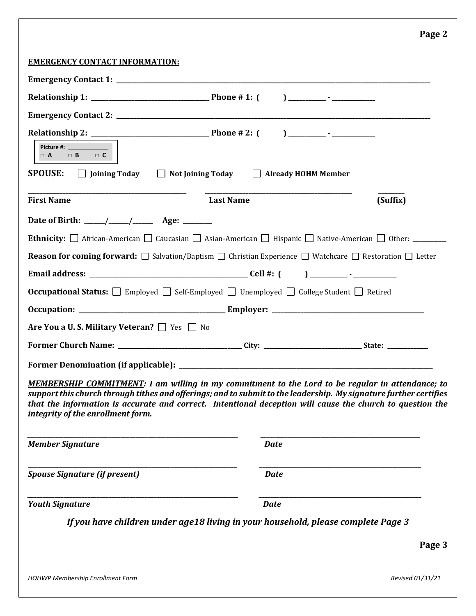## **Page 2**

## **EMERGENCY CONTACT INFORMATION:**

| Picture #: _______________<br>$\Box$ A $\Box$ B $\Box$ C |                                                                                                                                                                                                                                                                                                                                           |          |
|----------------------------------------------------------|-------------------------------------------------------------------------------------------------------------------------------------------------------------------------------------------------------------------------------------------------------------------------------------------------------------------------------------------|----------|
|                                                          | SPOUSE: □ Joining Today □ Not Joining Today □ Already HOHM Member                                                                                                                                                                                                                                                                         |          |
| <b>First Name</b>                                        | <b>Last Name</b>                                                                                                                                                                                                                                                                                                                          | (Suffix) |
|                                                          |                                                                                                                                                                                                                                                                                                                                           |          |
|                                                          |                                                                                                                                                                                                                                                                                                                                           |          |
|                                                          | <b>Reason for coming forward:</b> $\Box$ Salvation/Baptism $\Box$ Christian Experience $\Box$ Watchcare $\Box$ Restoration $\Box$ Letter                                                                                                                                                                                                  |          |
|                                                          |                                                                                                                                                                                                                                                                                                                                           |          |
|                                                          | <b>Occupational Status:</b> $\Box$ Employed $\Box$ Self-Employed $\Box$ Unemployed $\Box$ College Student $\Box$ Retired                                                                                                                                                                                                                  |          |
|                                                          |                                                                                                                                                                                                                                                                                                                                           |          |
| Are You a U.S. Military Veteran? Simples State           |                                                                                                                                                                                                                                                                                                                                           |          |
|                                                          |                                                                                                                                                                                                                                                                                                                                           |          |
|                                                          |                                                                                                                                                                                                                                                                                                                                           |          |
| integrity of the enrollment form.                        | <b>MEMBERSHIP COMMITMENT:</b> I am willing in my commitment to the Lord to be regular in attendance; to<br>support this church through tithes and offerings; and to submit to the leadership. My signature further certifies<br>that the information is accurate and correct. Intentional deception will cause the church to question the |          |
| <b>Member Signature</b>                                  | <b>Date</b>                                                                                                                                                                                                                                                                                                                               |          |
| <b>Spouse Signature (if present)</b>                     | <b>Date</b>                                                                                                                                                                                                                                                                                                                               |          |
| <b>Youth Signature</b>                                   | <b>Date</b>                                                                                                                                                                                                                                                                                                                               |          |
|                                                          | If you have children under age18 living in your household, please complete Page 3                                                                                                                                                                                                                                                         |          |
|                                                          |                                                                                                                                                                                                                                                                                                                                           | Page 3   |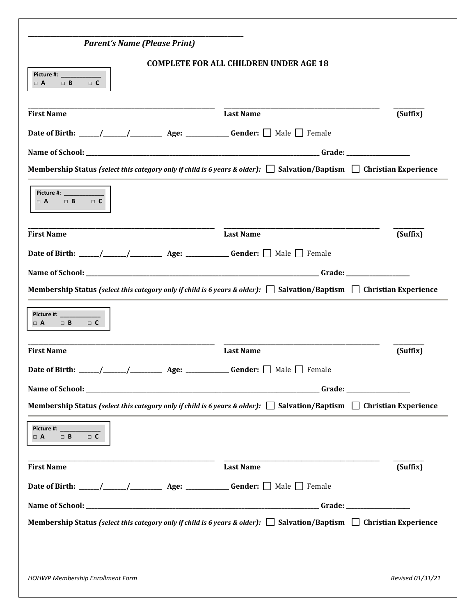|                                                                                                                                 | <b>COMPLETE FOR ALL CHILDREN UNDER AGE 18</b> |          |
|---------------------------------------------------------------------------------------------------------------------------------|-----------------------------------------------|----------|
| <b>Picture #:</b> Picture #:<br>$\Box$ B<br>$\Box$ C<br>$\Box$ A                                                                |                                               |          |
| <b>First Name</b>                                                                                                               | <b>Last Name</b>                              | (Suffix) |
|                                                                                                                                 |                                               |          |
|                                                                                                                                 |                                               |          |
| Membership Status (select this category only if child is 6 years & older): $\Box$ Salvation/Baptism $\Box$ Christian Experience |                                               |          |
| <b>Picture #:</b> Picture #:<br>$\Box$ B<br>$\Box$ C<br>$\Box$ A                                                                |                                               |          |
| <b>First Name</b>                                                                                                               | <b>Last Name</b>                              | (Suffix) |
|                                                                                                                                 |                                               |          |
|                                                                                                                                 |                                               |          |
| Membership Status (select this category only if child is 6 years & older): $\Box$ Salvation/Baptism $\Box$ Christian Experience |                                               |          |
| Picture #: _____________<br>$\Box$ A<br>$\Box$ B<br>$\Box$ C                                                                    |                                               |          |
| <b>First Name</b>                                                                                                               | <b>Last Name</b>                              | (Suffix) |
| Age:                                                                                                                            | <b>Gender:</b> $\Box$ Male $\Box$ Female      |          |
|                                                                                                                                 |                                               |          |
| Membership Status (select this category only if child is 6 years & older): $\Box$ Salvation/Baptism $\Box$ Christian Experience |                                               |          |
| Picture #: ______________<br>$\Box$ B $\Box$ C<br>$\Box$ A                                                                      |                                               |          |
| <b>First Name</b>                                                                                                               | <b>Last Name</b>                              | (Suffix) |
|                                                                                                                                 |                                               |          |
|                                                                                                                                 |                                               |          |
|                                                                                                                                 |                                               |          |
| Membership Status (select this category only if child is 6 years & older): $\Box$ Salvation/Baptism $\Box$ Christian Experience |                                               |          |
|                                                                                                                                 |                                               |          |